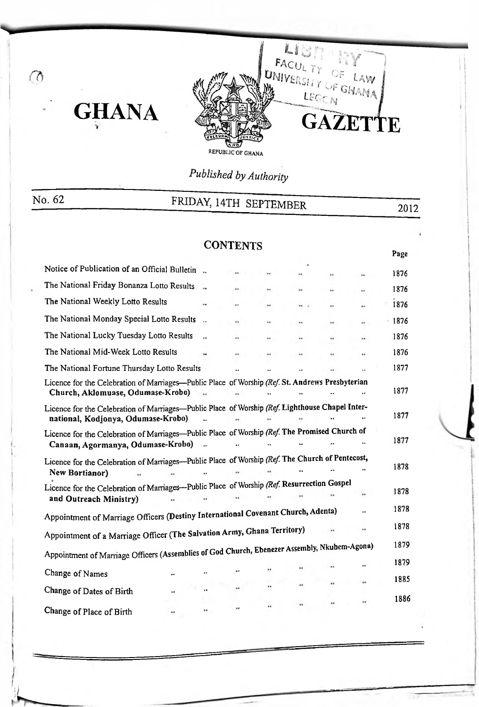

*Published by Authority*

| No. 62                                                                                                                                                                  | FRIDAY, 14TH SEPTEMBER |                 |  |  |    |    |         | 2012 |  |
|-------------------------------------------------------------------------------------------------------------------------------------------------------------------------|------------------------|-----------------|--|--|----|----|---------|------|--|
|                                                                                                                                                                         |                        |                 |  |  |    |    |         |      |  |
|                                                                                                                                                                         |                        | <b>CONTENTS</b> |  |  |    |    | Page    |      |  |
| Notice of Publication of an Official Bulletin                                                                                                                           |                        |                 |  |  |    |    | 1876    |      |  |
| The National Friday Bonanza Lotto Results                                                                                                                               |                        |                 |  |  |    | ., | 1876    |      |  |
| The National Weekly Lotto Results                                                                                                                                       |                        |                 |  |  |    |    | 1876    |      |  |
| The National Monday Special Lotto Results                                                                                                                               | $\ddot{\phantom{a}}$   |                 |  |  |    |    | $+1876$ |      |  |
| The National Lucky Tuesday Lotto Results                                                                                                                                |                        |                 |  |  | ., |    | 1876    |      |  |
| The National Mid-Week Lotto Results                                                                                                                                     |                        |                 |  |  |    |    | 1876    |      |  |
| The National Fortune Thursday Lotto Results                                                                                                                             |                        |                 |  |  |    |    | 1877    |      |  |
| Licence for the Celebration of Marriages-Public Place of Worship (Ref. St. Andrews Presbyterian<br>Church, Aklomuase, Odumase-Krobo)                                    |                        |                 |  |  |    |    | 1877    |      |  |
| Licence for the Celebration of Marriages-Public Place of Worship (Ref. Lighthouse Chapel Inter-<br>national, Kodjonya, Odumase-Krobo)                                   |                        |                 |  |  |    |    | 1877    |      |  |
| Licence for the Celebration of Marriages-Public Place of Worship (Ref. The Promised Church of<br>Canaan, Agormanya, Odumase-Krobo)                                      |                        |                 |  |  |    |    | 1877    |      |  |
| Licence for the Celebration of Marriages---Public Place of Worship (Ref. The Church of Pentecost,<br>New Bortianor)                                                     |                        |                 |  |  |    |    | 1878    |      |  |
| Licence for the Celebration of Marriages---Public Place of Worship (Ref. Resurrection Gospel<br>and Outreach Ministry)                                                  |                        |                 |  |  |    | ., | 1878    |      |  |
| Appointment of Marriage Officers (Destiny International Covenant Church, Adenta)                                                                                        |                        |                 |  |  |    |    | 1878    |      |  |
|                                                                                                                                                                         |                        |                 |  |  |    |    | 1878    |      |  |
| Appointment of a Marriage Officer (The Salvation Army, Ghana Territory)<br>Appointment of Marriage Officers (Assemblies of God Church, Ebenezer Assembly, Nkubem-Agona) |                        |                 |  |  |    |    | 1879    |      |  |
|                                                                                                                                                                         |                        |                 |  |  |    |    | 1879    |      |  |
| Change of Names<br>                                                                                                                                                     |                        |                 |  |  |    |    | 1885    |      |  |
| Change of Dates of Birth<br>                                                                                                                                            | $\ddot{\phantom{0}}$   |                 |  |  |    |    | 1886    |      |  |
| Change of Place of Birth<br>                                                                                                                                            |                        |                 |  |  |    |    |         |      |  |

 $\circledcirc$ 

**GHANA**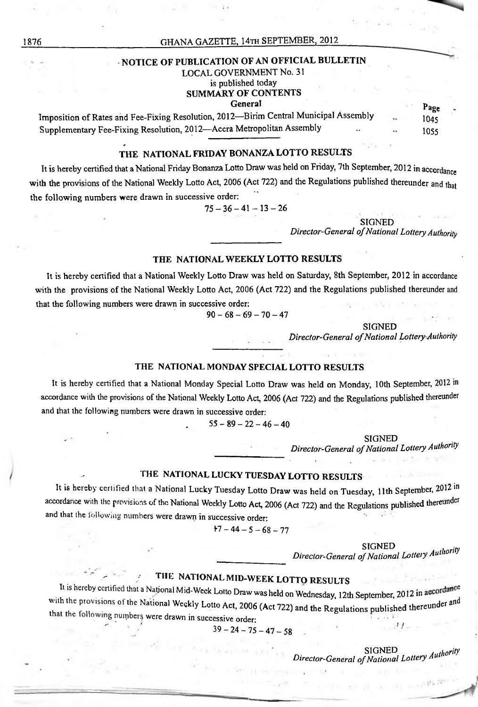#### NOTICE OF PUBLICATION OF AN OFFICIAL BULLETIN

#### LOCAL GOVERNMENT No. 31

is published today SUMMARY OF CONTENTS

#### General

Page 1045 1055 Imposition ofRates and Fee-Fixing Resolution, 2012—Birim Central Municipal Assembly Supplementary Fee-Fixing Resolution, 2012—Accra Metropolitan Assembly ..

#### THE NATIONAL FRIDAY BONANZA LOTTO RESULTS

It is hereby certified that a National Friday Bonanza Lotto Draw was held on Friday, 7th September, 2012 in accordance with the provisions of the National Weekly Lotto Act, 2006 (Act 722) and the Regulations published thereunder and that the following numbers were drawn in successive order:

 $75-36-41-13-26$ 

SIGNED *Director-General ofNational LotteryAuthority*

#### THE NATIONAL WEEKLY LOTTO RESULTS

It is hereby certified that a National Weekly Lotto Draw was held on Saturday, 8th September, 2012 in accordance with the provisions of the National Weekly Lotto Act, 2006 (Act 722) and the Regulations published thereunder and that the following numbers were drawn in successive order:

 $90-68-69-70-47$ 

SIGNED

*Director-General ofNational LotteryAuthority*

#### THE NATIONAL MONDAY SPECIAL LOTTO RESULTS

It is hereby certified that a National Monday Special Lotto Draw was held on Monday, 10th September, 2012 in accordance with the provisions of the National Weekly Lotto Act, 2006 (Act 722) and the Regulations published thereunder and that the following numbers were drawn in successive order:

 $55 - 89 - 22 - 46 - 40$ 

#### **SIGNED**

*Director-General ofNational Lottery Authority*

### THE NATIONAL LUCKY TUESDAY LOTTO RESULTS

It is hereby certified that a National Lucky Tuesday Lotto Draw was held on Tuesday, 11th September, 2012 in accordance with the provisions of the National Weekly Lotto Act, 2006 (Act 722) and the Regulations published thereunder and that the following numbers were drawn in successive order:

 $17-44-5-68-77$ 

*Authority Director-General ofNational Lottery* SIGNED

## THE NATIONAL MID-WEEK LOTTO RESULTS

za estas estas estas estas estas estas estas estas estas estas estas estas estas estas estas estas estas estas estas estas estas estas estas estas estas estas estas estas estas estas estas estas estas estas estas estas est

that the following numbers were drawn in successive order:<br> $39 - 24 - 75 - 47 - 58$ It is hereby certified that a National Mid-Week Lotto Draw was held on Wednesday, 12th September, 2012 in accordance with the provisions of the National Weekly Lotto Act, 2006 (Act 722) and the Regulations published thereunder and

*Authority* SIGNED *Director-General ofNational Lottery*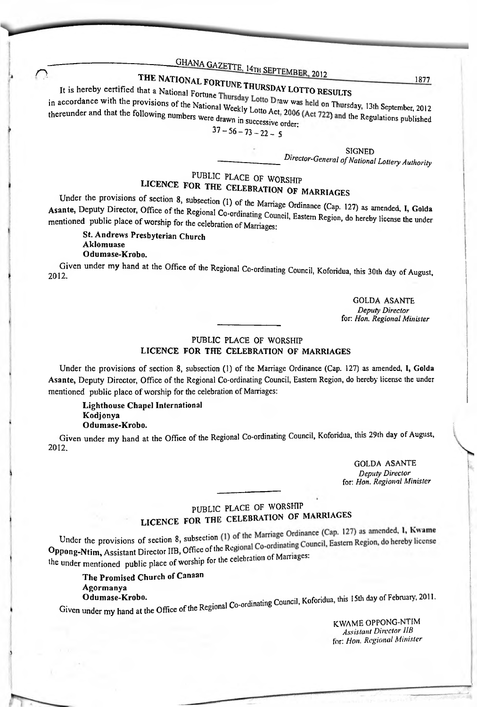# **CHANA GAZETTE, 14TH SEPTEMBER, 2012**<br>THE NATIONAL FORTUNE TIME THE SEPTEMBER, 2012

#### National Fortune Thursday LOTTO RESULTS THE NATIONAL FORTUNE It is hereby certified that a National Fortun

- Lotto Draw was held on Thursday, 13th September, 2012 1877<br>
IRURSDAY LOTTO RESULTS<br>
ay Lotto Draw was held on Thursday, 13th September, 2012<br>
<sup>1</sup>successive order:<br>
<sup>1 Successive order:<br>
<sup>13</sup></sup> <sup>l</sup>ational Weekl were drawn in in accordance with the provisions of the Nation thereunder and that the following numbers

 $37 - 56 - 73 - 22 - 5$ 

SIGNED *Director-General ofNational Lottery Authority*

### FUBLIC PLACE OF WORSHIP<br>LICENCE FOR THE CELEBRATION OF MARRIAGES PUBLIC PLACE OF WORSHIP

as amended, I, Golda mentioned public place of worship for the celebration of Marriages: Under the provisions of section 8, subsection (1) of the Marriage Ordinance (Cap. 127) Asante, Deputy Director, Office of the Regional Co-ordinating Comes I, Eastern Region, do hereby license the under

St. Andrews Presbyterian Church Aklomuase Odumase-Krobo.

Given under my hand at the Office of the Regional Co-ordinating Council, Koforidua, this 30th day of August, 2012.

GOLDA ASANTE *Deputy Director* for: *Hon. Regional Minister*

#### PUBLIC PLACE OF WORSHIP LICENCE FOR THE CELEBRATION OF MARRIAGES

Under the provisions of section 8, subsection (1) of the Marriage Ordinance (Cap. 127) as amended, I, Golda Asante, Deputy Director, Office of the Regional Co-ordinating Council, Eastern Region, do hereby license the under mentioned public place of worship for the celebration of Marriages:

Lighthouse Chapel International Kodjonya Odumase-Krobo.

Given under my hand at the Office of the Regional Co-ordinating Council, Koforidua, this 29th day of August, 2012.

> GOLDA ASANTE *Deputy Director* fbr: *Hon. Regional Minister*

### PUBLIC PLACE OF WORSHIP LICENCE FOR THE CELEBRATION OF MARRIAGES

Oppong-Ntim, Assistant Director IIB, Office of the Regional Co-ordinating Council, Eastern Region, do hereby license the under mentioned public place of worship for the celebration of Marriages: Under the provisions of section 8, subsection (1) of the Marriage Ordinance (Cap. 127) as amended, 1, Kwame

Odumase-Krobo. **Example 2011** Council, Koforidua, this 15th day of February, 2011. The Promised Church of Canaan Agormanya

Given under my hand at the Office of the Regional  $Co-01$ 

KWAME OPPONG-NTIM *Assistant Director 1IB* for: *Hon. Regional Minister*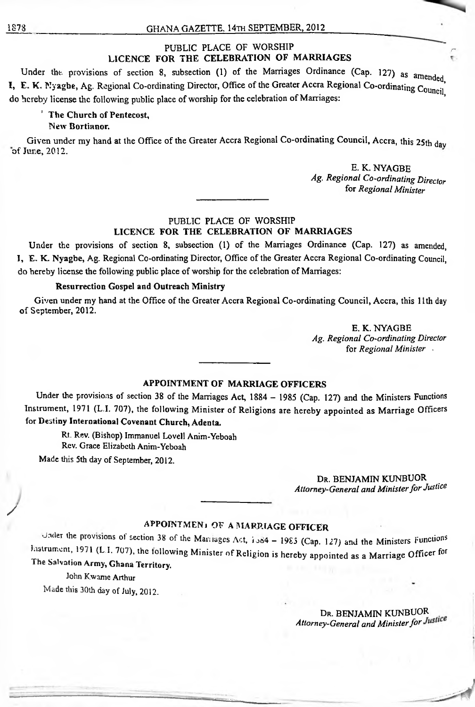#### PUBLIC PLACE OF WORSHIP LICENCE FOR THE CELEBRATION OF MARRIAGES

I, E. K. Nyagbe, Ag. Regional Co-ordinating Director, Office of the Greater Accra Regional Co-ordinating  $\overline{C_{\text{Ouncil}}}$ do hereby license the following public place of worship for the celebration of Marriages: Under the provisions of section 8, subsection (1) of the Marriages Ordinance (Cap. 127) as amended LICENCE FOR THE CELEBRATION OF MARRIAGES<br>Under the provisions of section 8, subsection (1) of the Marriages Ordinance (Cap. 127) as amende<br>I, E. K. Nyagbe, Ag. Regional Co-ordinating Director, Office of the Greater Accra R

#### 'The Church of Pentecost,

#### New Bortianor.

of Jure, 2012. Given under my hand at the Office of the Greater Accra Regional Co-ordinating Council, Accra, this 25th day

> E. K. NYAGBE *Ag. Regional Co-ordinating Director* fbr *Regional Minister*

*L*

#### PUBLIC PLACE OF WORSHIP LICENCE FOR THE CELEBRATION OF MARRIAGES

Under the provisions of section 8, subsection (1) of the Marriages Ordinance (Cap. 127) as amended, J. E. K. Nyagbe, Ag. Regional Co-ordinating Director, Office of the Greater Accra Regional Co-ordinating Council, do hereby license the following public place of worship for the celebration of Marriages:

#### Resurrection Gospel and Outreach Ministry

Given under my hand at the Office of the Greater Accra Regional Co-ordinating Council, Accra, this 11th day of September, 2012.

> E. K. NYAGBE *Ag. Regional Co-ordinating Director* fbr *Regional Minister* .

#### APPOINTMENT OF MARRIAGE OFFICERS

Under the provisions of section 38 of the Marriages Act, 1884 - 1985 (Cap. 127) and the Ministers Functions Instrument, 1971 (L.I. 707), the following Minister of Religions are hereby appointed as Marriage Officers for Destiny International Covenant Church, Adenta.

Rt. Rev. (Bishop) Immanuel Lovell Anim-Yeboah Rev. Grace Elizabeth Anim-Yeboah

Made this 5th day of September, 2012.

Dr. BENJAMIN KUNBUOR *Attorney-General and Ministerfor Justice*

#### APPOINTMENT OF *A* MARRIAGE OFFICER

Listrument, 1971 (L.I. 707), the following Minister of Religion is hereby appointed as a Marriage Officer for The Salvation Army, Ghana Territory. Jnder 'he govisions of section <sup>38</sup> of the Maniages Act, io84 - <sup>1985</sup> (Cap. 127) and the Ministers Functions

John Kwame Arthur Made this 30th day of July, 2012.

> Dr. BENJAMIN KUNBUOR *Attorney-General and Ministerfor*

/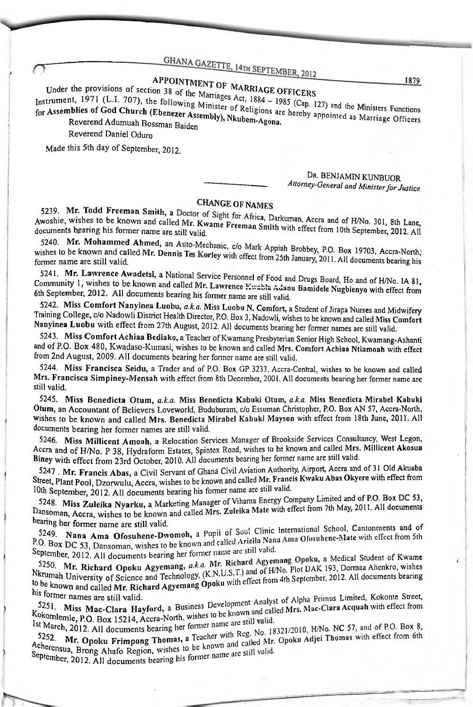# APPOINTMENT OF MARRIAGE OFFICERS

Under the provisions of section 38 of the Marriages Act, 1884 – 1985 (Cap. 127) and the Ministers Functions Instrument, 1971 (L.I. 707), the following Minister of Religions are hereby appointed as Marriage Officers

for Assemblies of God Church (Ebenezer Assembly), Nkubem-Agona. Reverend Adumuah Bossman Baiden Reverend Daniel Oduro

Made this 5th day of September, 2012.

#### DR. BENJAMIN KUNBUOR Attorney-General and Minister for Justice

### **CHANGE OF NAMES**

5239. Mr. Todd Freeman Smith, a Doctor of Sight for Africa, Darkuman, Accra and of H/No. 301, 8th Lane, Awoshie, wishes to be known and called Mr. Kwame Freeman Smith with effect from 10th September, 2012. All

5240. Mr. Mohammed Ahmed, an Auto-Mechanic, c/o Mark Appiah Brobbey, P.O. Box 19703, Accra-North, wishes to be known and called Mr. Dennis Tes Korley with effect from 25th January, 2011. All documents bearing his

5241. Mr. Lawrence Awadetsi, a National Service Personnel of Food and Drugs Board, Ho and of H/No. IA 81, Community 1, wishes to be known and called Mr. Lawrence Kwabla Adanu Bamidele Nugbienyo with effect from 6th September, 2012. All documents bearing his former name are still valid.

5242. Miss Comfort Nanyinea Luobu, a.k.a. Miss Luobu N. Comfort, a Student of Jirapa Nurses and Midwifery Training College, c/o Nadowli District Health Director, P.O. Box 3, Nadowli, wishes to be known and called Miss Comfort Nanyinea Luobu with effect from 27th August, 2012. All documents bearing her former names are still valid.

5243. Miss Comfort Achiaa Bediako, a Teacher of Kwamang Presbyterian Senior High School, Kwamang-Ashanti and of P.O. Box 480, Kwadaso-Kumasi, wishes to be known and called Mrs. Comfort Achiaa Ntiamoah with effect from 2nd August, 2009. All documents bearing her former name are still valid.

5244. Miss Francisca Seidu, a Trader and of P.O. Box GP 3233, Accra-Central, wishes to be known and called Mrs. Francisca Simpiney-Mensah with effect from 8th December, 2001. All documents bearing her former name are still valid.

5245. Miss Benedicta Otum, a.k.a. Miss Benedicta Kabuki Otum, a.k.a. Miss Benedicta Mirabel Kabuki Otum, an Accountant of Believers Loveworld, Buduburam, c/o Essuman Christopher, P.O. Box AN 57, Accra-North, Wishes to be known and called Mrs. Benedicta Mirabel Kabuki Mayson with effect from 18th June, 2011. All documents bearing her former names are still valid.

5246. Miss Millicent Amoah, a Relocation Services Manager of Brookside Services Consultancy, West Legon, Accra and of H/No. P 38, Hydraform Estates, Spintex Road, wishes to be known and called Mrs. Millicent Akosua Biney with effect from 23rd October, 2010. All documents bearing her former name are still valid.

5247 Mr. Francis Abas, a Civil Servant of Ghand Civil Aviation Authority, Airport, Accra and of 31 Old Akuaba Street, Plant Pool, Dzorwulu, Accra, wishes to be known and called Mr. Francis Kwaku Abas Okyere with effect from 10th September, 2012. All documents bearing his former name are still valid.

5248. Miss Zuleika Nyarku, a Marketing Manager of Vihama Energy Company Limited and of P.O. Box DC 53, Dansoman, Accra, wishes to be known and called Mrs. Zuleika Mate with effect from 7th May, 2011. All documents bearing her former name are still valid.

5249. Nana Ama Ofosuhene-Dwomoh, a Pupil of Soul Clinic International School, Cantonments and of P.O. Box DC 53, Dansoman, wishes to be known and called Ariella Nana Ama Ofosuhene-Mate with effect from 5th<br>September 2003, Dansoman, wishes to be known and called Ariella Nana Ama Ofosuhene-Mate with effect from 5th September, 2012. All documents bearing her former name are still valid.

5250. Mr. Richard Opoku Agyemang, a.k.a. Mr. Richard Agyemang Opoku, a Medical Student of Kwame **EVALUATE IN EXECUTION ASSESS** NET THE RECEIVED AND RESPONSE 193, Dorman Ahenkro, wishes<br>Nkrumah University of Science and Technology, (K.N.U.S.T.) and of H/No. Plot DAK 193, Dorman Ahenkro, wishes to be known ourversity of Science and Technology, (Navious 1) and the September, 2012. All documents bearing<br>his former

his former names are still valid. 5251. Miss Mac-Clara Hayford, a Business Development Analyst of Alpha Primus Limited, Kokonte Street, Kokomlemle, P.O. Box 15214, Accra-North, wishes to be known and called Mrs. Mac-Clara Acquah with effect from<br>1st March, P.O. Box 15214, Accra-North, wishes to be known and called Mrs. Mac-Clara Acquah with effect from

Ist March, 2012. All documents bearing her former name are still valid. 5252. Mr. Opoku Frimpong Thomas, a Teacher with Reg. No. 18321/2010, H/No. NC 57, and of P.O. Box 8, there with effect from 6th Mr. Opoku Frimpong Thomas, a Teacher with reg. 150. 150. 151. Adjei Thomas with effect from 6th<br>September 2010 and Called Mr. Opoku Adjei Thomas with effect from 6th<br>September 2010 10:15 PM September, 2012. All documents bearing his former name are still valid.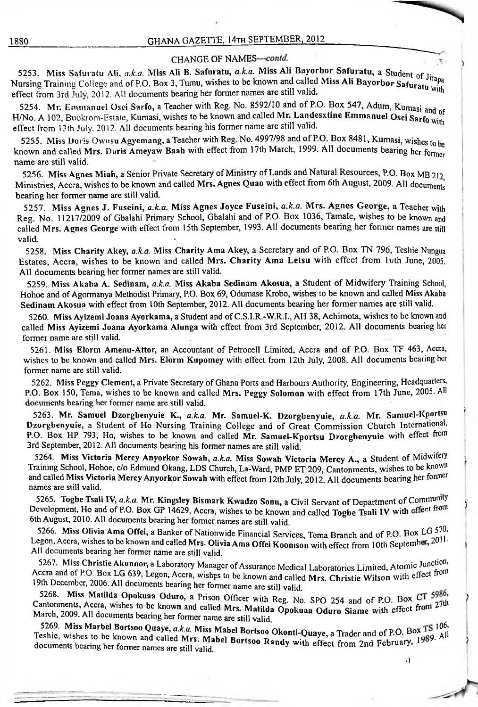#### CHANGE OF NAMES-contd.

 $\frac{1}{22}$ 3. I wiss Safuratu Att, *a.k.a.* Wiss Ali B. Safuratu, a.k.a. Pals for  $\frac{1}{2}$  of  $\frac{1}{2}$  such that  $\frac{1}{2}$  such of Jirapa Nursing Training College and of P.O. Box 3, Tumu, wishes to be known and called Mi effect from 3rd July, 2013. All documents bearing her former names are still valid. 5253. Miss Safuratu Ali, *a.k.a.* Miss Ali B. Safuratu, *a.k.a.* Miss Ali Bayorbor Safuratu, a Student of Jirapa

5254. Mr. Emmanuel Osei Sarfo, a Teacher with Reg. No. 8592/10 and of P.O. Box 547, Adum, Kumasi *z* H/No. A 102, Buokrom-Estate, Kumasi, wishes to be known and called Mr. Landesxtine Emmanuel Osei Sarfo with FI/NO. A  $102$ , BUOKTOM-ESIAIC, NUMASI, WISHES to be Known and cance MM Eamocoking Emmanuel Osel Sarfo with  $\kappa_{\text{tot}}$ 

known and called Mrs. Doris Ameyaw Baah with effect from 17th March, 1999. All documents bearing her former name are still valid. 5255. Miss Doris Owusu Agyemang, a Teacher with Reg. No. 4997/98 and of P.O. Box 8481, Kumasi, wishes to be

Ministries, Accra, wishes to be known and called Mrs. Agnes Quao with effect from 6th August, 2009. All documents bearing her former name are still valid. 5256. Miss Agnes Miah, a Senior Private Secretary of Ministry of Lands and Natural Resources, P.O. Box MB 212

Reg. No. 11217/2009 of Gbalahi Primary School, Gbalahi and of P.O. Box 1036, Tamale, wishes to be known and reg. We, 1121/2009 of Genam Trimary Benoer, Genam the Critics of the Care of the Critics of Centeria and and called Mrs. Agnes George with effect from 15th September, 1993. All documents bearing her former names are still 5257. Miss Agnes J. Fuseini, *a.k.a.* Miss Agnes Joyce Fuseini, *a.k.a.* Mrs. Agnes George, a Teacher with valid.  $\blacksquare$ 

5258. Miss Charity Akey, *aka.* Miss Charity Ama Akey, a Secretary and of P.O. Box TN 796, Teshie Nungua Estates, Accra, wishes to be known and called Mrs. Charity Ama Letsu with effect from luth June, 2005. All documents bearing her former names are still valid.

5259. Miss Akaba A. Sedinam, *aka.* Miss Akaba Sedinam Akosua, a Student of Midwifery Training School, Hohoe and of Agormanya Methodist Primary, P.O. Box 69, Odumase Krobo, wishes to be known and called Miss Akaba Sedinam Akosua with effect from IOth September, 2012. All documents bearing her former names are still valid.

5260. Miss Ayizemi Joana Ayorkama, a Student and ofC.S.I.R.-W.R.I., AH 38, Achimota, wishes to be known and called Miss Ayizemi Joana Ayorkama Alunga with effect from 3rd September, 2012. All documents bearing her former name are still valid.

5261. Miss Elorm Amenu-Attor, an Accountant of Petrocell Limited, Accra and of P.O. Box TF 463, Accra, wishes to be known and called Mrs. Elorm Kupomey with effect from 12th July, 2008. All documents bearing her former name are still valid.

5262. Miss Peggy Clement, a Private Secretary of Ghana Ports and Harbours Authority, Engineering, Headquarters, P.O. Box 150, Tema, wishes to be known and called Mrs. Peggy Solomon with effect from 17th June, 2005. All documents bearing her former name are still valid.

Dzorgbenyuie, a Student of Ho Nursing Training College and of Great Commission Church International, 5263. Mr. Samuel Dzorgbenyuie K., a.k.a. Mr. Samuel-K. Dzorgbenyuie, a.k.a. Mr. Samuel-Kportsu P.O. Box HP 793, Ho, wishes to be known and called Mr. Samuel-Kportsu Dzorgbenyuie with effect from 3rd September, 2012. All documents bearing his former names are still valid.

Training School, Hohoe, c/o Edmund Okang, LDS Church, La-Ward, PMP ET 209, Cantonments, wishes to be known names are still valid. 5264.Miss Victoria Mercy Anyorkor Sowah, *a.k.a.* Miss Sowah Victoria Mercy A., a Student of Midwifery <sup>k</sup> and called Miss Victoria Mercy Anyorkor Sowah with effect from 12th July, 2012. All documents bearing her former

5265. Togbe Tsali IV, *a.k.a.* Mr. Kingsley Bismark Kwadzo Sonu, a Civil Servant of Department of Community Development, Ho and of P.O. Box GP 14629, Accra, wishes to be known and called Togbe Tsali IV with *cffect* from 6th August, 2010. All documents bearing her former names are still valid.

5266. Miss Olivia Ama Offei, a Banker of Nationwide Financial Services, Tema Branch and of P.O. Box LG 570, Legon, Accra, wishes to be known and called Mrs. Olivia Ama Offei Koomson with effect from 10th September, 2011. All documents bearing her former name are still valid.

II documents bearing her former name are still valid.<br>5267. Miss Christie Akunnor, a Laboratory Manager of Assurance Medical Laboratories Limited, Atomic Junction. Accra and of P.O. Box LG 639, Legon, Accra, wishps to be known and called Mrs. Christie Wilson with effect from Accia and 01 P.O. Box LG 639, Legon, Accra, wishes to be known and calle<br>19th December, 2006. All documents bearing her former name are still valid

march, 2009. All documents bearing her former name are still valid.<br>Cases are still valid. 5268. Miss Matilda Opokuaa Oduro, a Prison Officer with Reg. No. SPO 254 and of P.O. Box CT 5986,<br>Cantonments, Accra, wishes to be known and called Mrs. Matilda Opokuaa Oduro Siame with effect from 27th<br>March 2009 All docu

 $\frac{3205}{2005}$  ivits wiarder Bortsoo Quaye, a.k.a. Miss Mabel Bortsoo Okonti-Quaye, a Trader and of P.O. Box TS 100, TS and Teshie, wishes to be known and called Mrs. Mabel Bortsoo Randy with effect from 2nd February, 19 S269. Miss Marbel Bortsoo Quaye, *a.k.a.* Miss Mabel Bortsoo Okonti-Quaye, a Trader and of P.O. Box TS 106.<br>Shie, wishes to be known and called Mrs. Mobel Bortsoo Okonti-Quaye, a Trader and of P.O. Box TS 106. documents bearing her former names are still valid.

**d**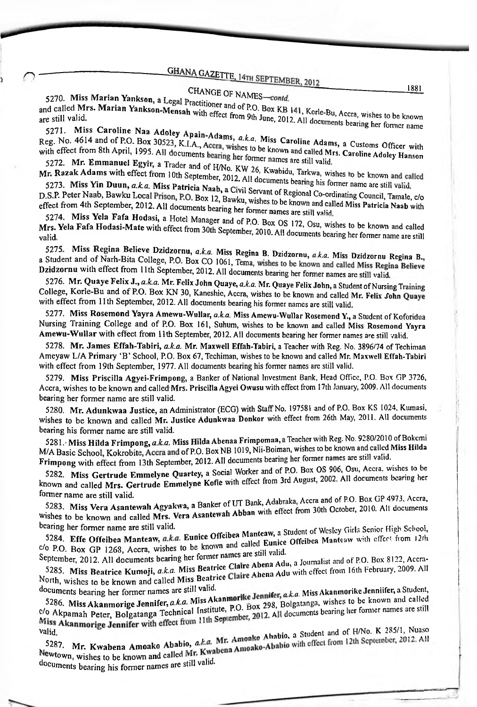#### CHANGE OF NAMES-contd. <sup>CHANGE</sup> OF NAMES—

*C*

5270. Miss Marian Yankson, still valid. 5270. MISS Marian Yankson, a Legal Practitioner and of P.O. Box KB<br>and called Mrs. Marian Yankson-Mensah with off and of P.O. Box KB and carica M13. Martian Tankson-Mensah with effect from 9th June, 2012. All documents bearing her former name<br>are still valid. a Legal Practitioner and of P.O. Box KB 141, Korle-Bu, Accra, wishes to be known<br>**1-Mensah** with effect from 9th June 2012, AU, J. Wele-Bu, Accra, wishes to be known

a Customs Officer with 5271. Miss Caroline Naa Reg. No. 4614 and of P.O. Box 30523, K.I.A Caroline Adams, a Customs Officer with Reg. No. 4614 and of P.O. Box 30523, K.I.A., Accra, wishes to be known and called Mrs. a Customs Officer with<br>with effect from 8th April, 1995. All documents bearing bester to be known and called Mrs. Caroline Adoley Hanso Neg. 110. 122 Partias April, 1995. All documents bearing her former names are still valid. Apain-Adams,  $a k a$  Miss

5272. Mr. Emmanuel Egyir, a Trader and of H/No. KW 26, Kwabidu, Tarkwa, wishes<br>Tr. Razak Adams with effect from 10th September, 2012. All documents begins a wishes Mr. Razak Adams with effect from 10th September, 2012.<br>Mr. Razak Adams with effect from 10th September, 2012.<br>5273. Miss Yin Duun, *a.k.a.* Miss Patricia Naab, a Civi<br>D.S.P. Peter Naab. Bawku Local Prison, P.O. D.

5273. Miss Yin Duun, a.k.a. Miss Patricia Naab, a Civil Servant of Regional Co-ordinating Council, Tamale, c/o<br>D.S.P. Peter Naab, Bawku Local Prison, P.O. Box 12, Bawku, wishes to be known and called Miss Patricia Naab wi effect from 4th September, 2012. All documents bearing her former names are still valid.

to be known and called Mrs. Yela Fafa Hodasi-Mate with effect from 30th September, 2010. All documents bearing her former name are still fect from 4th September, 2012. All documents bearing her former names are still valid.<br>5274. Miss Yela Fafa Hodasi, a Hotel Manager and of P.O. Box OS 172, Osu, wishes to be<br>[rs. Yela Fafa Hodasi-Mate with effect from 30th

Frances, 2010. An documents bearing her former name are still<br>5275. Miss Regina Believe Dzidzornu, *a.k.a.* Miss Regina B. Dzidzornu, *a.k.a.* Miss Dzidzornu Regina B.<br>5 Student and of Narh-Bita College, P.O. Box CO 1061, a Student and of Narh-Bita College, P.O. Box CO 1061, Tema, wishes to be known and called Miss Regina Believe<br>Dzidzornu with effect from 11th September, 2012. All documents bearing her former names are still valid.

Studion in the street from Train September, 2012. All documents bearing her former names are still valid.<br>S276. Mr. Quaye Felix J., a.k.a. Mr. Felix John Quaye, a.k.a. Mr. Quaye Felix John, a Student of Nursing Training<br>C ith effect from 11th September, 2012. All documents bearing his former names are still valid.<br>5277. Miss Rosemond Yayra Amewu-Wullar, *a.k.a.* Miss Amewu-Wullar Rosemond Y., a Student of Koforidua College, Korle-Bu and of P.O. Box KN 30, Kaneshie, Accra, wishes to be known and called Mr. Felix fohn Quaye with effect from 11th September, 2012. All documents bearing his former names are still valid.

Nursing Training College and of P.O. Box 161, Suhum, wishes to be known and called Miss Rosemond Yayra Amewu-WuHar with effect from 11th September, 2012. All documents bearing her former names are still valid.

5278. Mr. James Effah-Tabiri, *a.k.a.* Mr. Maxwell Effah-Tabiri, a Teacher with Reg. No. 3896/74 ofTechiman Ameyaw L/A Primary 'B' School, P.O. Box 67, Techiman, wishes to be known and called Mr. Maxwell Effah-Tabiri with effect from 19th September, 1977. All documents bearing his former names are still valid.

5279.Miss Priscilla Agyei-Frimpong, a Banker of National Investment Bank, Head Office, P.O. Box GP 3726, Accra, wishes to be known and called Mrs. Priscilla Agyci Owusu with effect from 17th January, 2009. All documents bearing her former name are still valid.

5280. Mr. Adunkwaa Justice, an Administrator (ECG) with Staff No. 197581 and of P.O. Box KS 1024, Kumasi, wishes to be known and called Mr. Justice Adunkwaa Donkor with effect from 26th May, 2011. AU documents bearing his former name are still valid.

5281. Miss Hilda Frimpong, *a.k.a*. Miss Hilda Abenaa Frimpomaa, a Teacher with Reg. No. 9280/2010 of Bokemi<br>M/A Basic School, Kokrobite, Accra and of P.O. Box NB 1019, Nii-Boiman, wishes to be known and called Miss Hilda Frimpong with effect from 13th September, 2012. All documents bearing her former names are still valid.

3262. Witss Gertrude Emmelyne Quartey, a South Marting 3rd August, 2002. All documents bearing her<br>known and called Mrs. Gertrude Emmelyne Kofic with effect from 3rd August, 2002. All documents bearing her 5282. Miss Gertrude Emmelyne Quartey, a Social Worker and of P.O. Box OS 906, Osu, Accra. wishes to be former name are still valid.

3265. IVIISS Vera Asantewah Agyakwa, a Ballica of the Michael of Gottober,<br>Wishes to be known and called Mrs. Vera Asantewah Abban with effect from 30th October, a, a Banker of UT Bank, Adabraka, Accra and of P.O. Box GP 4973, Accra, a Asantewah Abban with effect from 30th October, 2010. All documents<br>**Eunice Offeibea Manteaw**, a Student of Wesley Girls Senior High School, be known of LIT Bank, Adabraka, Accra and of P.O. Box GP 4973, Accra, 01.11 1222<br>of UT Bank, Adabraka, Accra and of P.O. Box GP 4973, Accra,<br>ah Abban with effect from 30th October, 2010. All documents 5283. Miss Vera Asantewah Agyakwa, a Banker bearing her former name are still valid.

Offeibea Manteaw with effect from 12 c/o P.O. Box GP 1268, Accra, wishes to be known and called bullete of P.O. Box 8122, Accra-<br>September, 2012, All documents bearing her former names are still valid. 5284. Effe Offeibea Manteaw,

5285. Miss Beatrice Kumoji, *aka.* Miss Beatrice Abena Adu with effect from 16th February, 2009. All be known and called Wiss Beat the Community of a Miss Akanmorike Jennifer, a Student, a Student, a Student, a Student, a Student, a Student, a Student, a Student, a Student, a Student, a Student, a Student, a Student, a St September, 2012. All documents bearing her former names are still valid.<br>September, 2012. All documents bearing her former names are still valid.<br>5285. Miss Beatrice Kumoji, *a.k.a.* Miss Beatrice Claire Abena Adu with eff North, wishes beau ice Numby, a.k.a. wish beautice Claire Abena Adu with effect from 16th February, 2009. All<br>door-

orth, wishes to be known and called Miss Beatrice Claire Abella 1222<br>Seuments bearing her former names are still valid.<br>5286. Miss Akanmorige Jennifer, *a.k.a.* Miss Akanmorike Jennifer, *a.k.a.* Miss Akanmorike Jennifer, Seating the former names<br>5286. Miss Akanmorige Jennifer, a.k.a. Miss Akanmorike Jennifer, a.k.a. Miss Akanmorikes to be known and called<br>0 Akpamah Peter, Bolgatanga Technical Institute, P.O. Box 298, Bolgatanga, wishes to Iss Beatrice Claire Abelia 1998.<br>
g. Miss Akanmorike Jennifer, a.k.a. Miss Akanmorike Jennifer, a Student<br>
g. Miss Akanmorike Jennifer, a.k.a. Miss Akanmorike Jennifer, a Student<br>
cal Institute, P.O. Box 298, Bolgatanga, documents bearing her former names are still valid. nor ige ochmot, and institute,<br>Bolgatanga Technical Institute,

5287. Mr. Kwabena Amoako Ababio,  $\frac{3287.}{8}$  Mr. Kwabena Amoako Ababio,  $a_{\text{max}}$ <br>Newtown, wishes to be known and called Mr. Kwa<br>documents bessing his former names are still valid. documents bearing his former names are still valid. valid. Ababi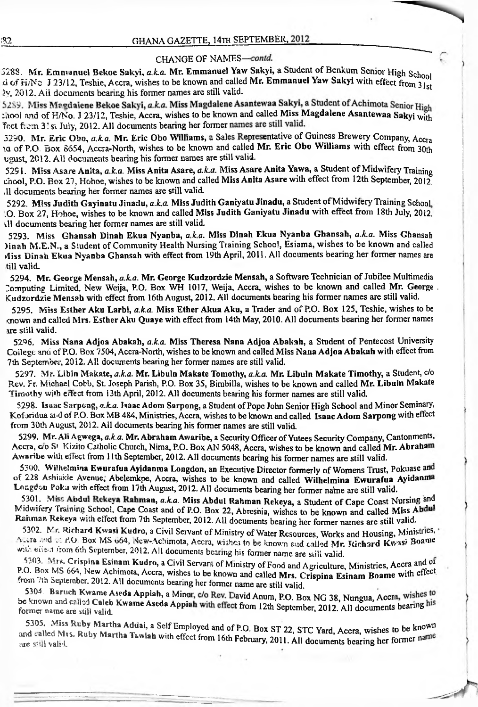#### CHANGE OF NAMES—

2288. W.F. Emmanuel Dekoe Daryn, a.n.a. W.F. Emmanuel Mr. Emmanuel Yaw Sakyi with effect from 31st Emmanuel Bekoe Sakyi, *aka.* Mr. Emmanuel Yaw Sakyi, a Student^fBenkum Senioi- High School

5289. Miss Magdalene Bekoe Sakyi,  $a.k.a$ . Miss Magdalen<br>chool and of H/No. J 23/12, Teshie, Accra, wishes to be know<br>feet from 3.'s: July, 2012. All documents bearing her former :hool and of H/No. J 23/12, Teshie, Accra, wishes to be known and called Miss Magdalene Asantewaa Sakyi with ly, 2012. Aii documents bearing his former names are still valid.<br>5259. Miss Magdalene Bekoe Sakyi, a.k.a. Miss Magdalene Asantewaa Sakyi, a Student of Achimota Senior High

2250. MI. ETIC OBO, a.A.a. MI. ETIC OBO WIMAMIS, a base respectively. O Company, Accra-<br>2012. All documents bearing his former names are still valid.<br>3291. Miss Asare Anita, a.k.a. Miss Anita Asare, a.k.a. Miss Asare Anit 3290. Mr. Eric Obo, *a.k.a.* Mr. Eric Obo Williams, a Sales Representative of Guiness Brewery Company, Accra vgust, 2012. Al! documents bearing his former names are still valid.<br>5291. Miss Asare Anita, a.k.a. Miss Anita Asare, a.k.a. Miss Asare Anita Yawa, a Student of Midwifery Training

chool, P.O. Box 27, Hohoe, wishes to be known and called Miss Anita Asare with effect from 12th September, 2012 JI documents bearing her former names are still valid.

5292. Miss Judith Gayinatu Jinadu, a.k.a. Miss Judith Ganiyatu Jinadu, a Student of Midwifery Training School. .O. Box 27, Hohoe, wishes to be known and called Miss Judith Ganiyatu Jinadu with effect from 18th July, 2012. dl documents bearing her former names are still valid.

5293. Miss Ghansah Dinah Ekua Nyanba, *a.k.a.* Miss Dinah Ekua Nyanba Ghansah, *a.k.a.* Miss Ghansah )inah M・E.N., a Student of Community Health Nursing Training School, Esiama, wishes to be known and called 4iss Dinah Ekua Nyanba Ghansah with effect from 19th April, 2011. All documents bearing her former names are till valid.

5294. Mr. George Mensah, a.k.a. Mr. George Kudzordzie Mensah, a Software Technician of Jubilee Multimedia Computing Limited, New Weija, P.O. Box WH 1017, Weija, Accra, wishes to be known and called Mr. George . Kudzordzie Mensah with effect from 16th August, 2012. All documents bearing his former names are still valid.

5295.Miss Esther Aku Larbi, *aka.* Miss Ether Akua Aku, a Trader and of P.O. Box 125, Teshie, wishes to be icnown and called Mrs. EstherAku Quaye with effect from 14th May, 2010. All documents bearing her former names are still valid.

5296. Miss Nana Adjoa Abakah, *a.k.a.* Miss Theresa Nana Adjoa Abakah, a Student of Pentecost University College and of P.O. Box 7504, Accra-North, wishes to be known and called Miss Nana Adjoa Abakah with effect from 7th September, 2012. All documents bearing her former names are still valid.

5297. Mr. Libin Makate, *a.k.a.* Mr. Libuln Makate Tomothy, *aka.* Mr. Libuln Makate Timothy, a Student, c/o Rev. Fr. Michael Cobb, St. Joseph Parish, P.O. Box 35, Bimbilla, wishes to be known and called Mr. Libuln Makate Timothy with effect from 13th April, 2012. All documents bearing his former names are still valid.

5298. Isaac Sarpong, a.k.a. Isaac Adom Sarpong, a Student of Pope John Senior High School and Minor Seminary, Koforidua and of P.O. Box MB 484, Ministries, Accra, wishes to be known and called Isaac Adom Sarpong with effect from 30th August, 2012. All documents bearing his former names are still valid.

5299. Mr. Ali Agwega, *a.k.a.* Mr. Abraham Awaribe, a Security Officer of Yutees Security Company, Cantonments, Accra, c/o S<sup>t</sup> Kizito Catholic Church, Nima, P.O. Box AN 5048, Accra, wishes to be known and called Mr. Abraham Awaribe with effect from 11th September, 2012. All documents bearing his former names are still valid.

012. All documents bearing his former names are still valid.<br>
Wega, a.k.a. Mr. Abraham Awaribe, a Security Officer of Yutees Security Company, Cantonments,<br>
Catholic Church, Nima, P.O. Box AN 5048, Accra, wishes to be kno 5300. Wilhelmina Ewurafua Ayidanma Longdon, an Executive Director formerly of Womens Trust, Pokuase and of 228 Ashiakle Avenue, Abelemkpe, Accra, wishes to be known and called Wilhelmina Ewurafua Ayidanma Longdon Poku with effect from 17th August, 2012. All documents bearing her former nahne are still valid.

'Midwifery Training School, Cape Coast and of P.O. Box 22, Abreshia, wishes to be known and called Miss A<br>Rahman Rekeya with effect from 7th September, 2012. All documents bearing her former names are still valid 5301. Miss Abdul Rekeya Rahman, a.k.a. Miss Abdul Rahman Rekeya, a Student of Cape Coast Nursing and Midwifery Training School, Cape Coast and of P.O. Box 22, Abreshia, wishes to be known and called Miss Abdul

SSU2, POR EIGRATH KWASI Kudro, a Civil Servant of Ministry of Water Resources, Works and Housing, Ministries.<br>Accra and of P.O. Box MS 064, New-Achimota, Accra, wishes to be known and called Mr. Richard Kwasi Boame 5302. M<sup>r</sup> Richard Kwasi Kudro, a Civil Servant of Ministry of Water Resources, Works and Housing, Ministries, with effect from 6th September, 2012. All documents bearing his former name are still valid.

th September, 2012. All documents bearing his former name are still valid.<br>
spina Esinam Kudro, a Civil Servant of Ministry of Food and Agriculture, Ministries, Accra and of<br>
, New Achimota, Accra, wishes to be known and c 5303. Mrs. Crispina Esinam Kudro, a Civil Servant of Ministry of Food and Agriculture, Ministries, Accra and of P.O. Box MS 664, New Achimota, Accra, wishes to be known and called Mrs. Crispina Esinam Boame with effect from 7th September. 2012. All documents bearing her former name are still valid.

12th September, 2012. All documents bearing 5304. Baruch Kwame Aseda Appiah, a Minor, c/o Rev. David Anum, P.O. Box NG 38, Nungua, Accra, wishes to former name are still valid.

5305. Miss Ruby Martha Addai, a Self Employed and of P.O. Box ST 22, STC Yard, Accra, wishes to be known and called Mis, Ruby Martha Tawiah with effect from 16th February, 2011. All documents bearing the former na are still valid.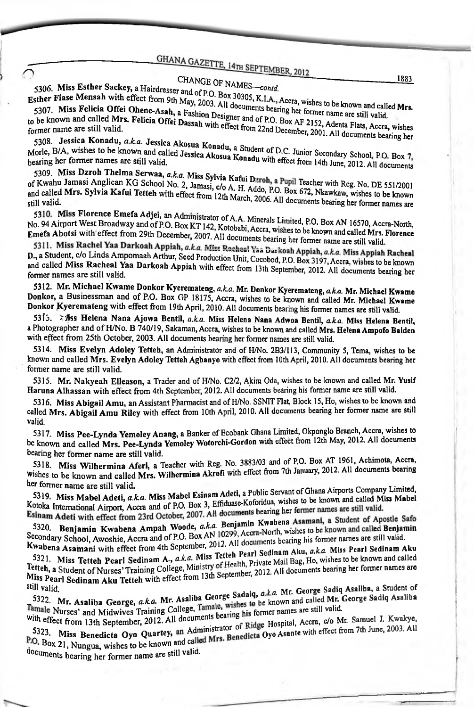## CHANGE OF NAMES-contd.

5306. Miss Esther Sackey, a Hairdresser and of P.O. Box 30305, K.I.A., Accra, wishes to be known and called Mrs. 5306. IVIISS ESSALES CONTRACTED STATES CONTRACTS USE OF SUSSICIAL ACCEA, wishes to be known and called Esther Fiase Mensah with effect from 9th May, 2003. All documents bearing her former name are still valid. Sther Frase Strategicia Offei Ohene-Asah, a Fashion Designer and of P.O. Box AF 2152, Adenta Flats, Accra, wishes 5307. IVIISS A GIVEN STATE CONDUCTION, a FASHION DESIgner and of P.O. Box AF 2152, Adenta Flats, Accra, wishes<br>to be known and called Mrs. Felicia Offei Dassah with effect from 22nd December, 2001. All documents bearing h

5308. Jessica Konadu, *a.k.a.* Jessica Akosua Konadu, a Student of D.C. Junior Secondary School, P.O. Box 7,

Morle, B/A, wishes to be known and called Jessica Akosua Konadu with effect from 14th June, 2012. All documents

5309. Miss Dzroh Thelma Serwaa, a.k.a. Miss Sylvia Kafui Dzroh, a Pupil Teacher with Reg. No. DE 551/2001 of Kwahu Jamasi Anglican KG School No. 2, Jamasi, c/o A. H. Addo, P.O. Box 672, Nkawkaw, wishes to be known and called Mrs. Sylvia Kafui Tetteh with effect from 12th March, 2006. All documents bearing her former names are

5310. Miss Florence Emefa Adjei, an Administrator of A.A. Minerals Limited, P.O. Box AN 16570, Accra-North, No. 94 Airport West Broadway and of P.O. Box KT 142, Kotobabi, Accra, wishes to be known and called Mrs. Florence Emefa Abotsi with effect from 29th December, 2007. All documents bearing her former name are still valid.

5311. Miss Rachel Yaa Darkoah Appiah, a.k.a. Miss Racheal Yaa Darkoah Appiah, a.k.a. Miss Appiah Racheal D., a Student, c/o Linda Ampomaah Arthur, Seed Production Unit, Cocobod, P.O. Box 3197, Accra, wishes to be known and called Miss Racheal Yaa Darkoah Appiah with effect from 13th September, 2012. All documents bearing her former names are still valid.

5312. Mr. Michael Kwame Donkor Kyeremateng, a.k.a. Mr. Donkor Kyeremateng, a.k.a. Mr. Michael Kwame Donkor, a Businessman and of P.O. Box GP 18175, Accra, wishes to be known and called Mr. Michael Kwame Donkor Kyeremateng with effect from 19th April, 2010. All documents bearing his former names are still valid.

5315. As Helena Nana Ajowa Bentil, a.k.a. Miss Helena Nana Adwoa Bentil, a.k.a. Miss Helena Bentil, a Photographer and of H/No. B 740/19, Sakaman, Accra, wishes to be known and called Mrs. Helena Ampofo Baiden with effect from 25th October, 2003. All documents bearing her former names are still valid.

5314. Miss Evelyn Adoley Tetteh, an Administrator and of H/No. 2B3/113, Community 5, Tema, wishes to be known and called Mrs. Evelyn Adoley Tetteh Agbanyo with effect from 10th April, 2010. All documents bearing her former name are still valid.

5315. Mr. Nakyeah Elleason, a Trader and of H/No. C2/2, Akim Oda, wishes to be known and called Mr. Yusif Haruna Alhassan with effect from 4th September, 2012. All documents bearing his former name are still valid.

5316. Miss Abigail Amu, an Assistant Pharmacist and of H/No. SSNIT Flat, Block 15, Ho, wishes to be known and called Mrs. Abigail Amu Riley with effect from 10th April, 2010. All documents bearing her former name are still valid.

5317. Miss Pee-Lynda Yemoley Anang, a Banker of Ecobank Ghana Limited, Okponglo Branch, Accra, wishes to be known and called Mrs. Pee-Lynda Yemoley Wotorchi-Gordon with effect from 12th May, 2012. All documents bearing her former name are still valid.

5318. Miss Wilhermina Aferi, a Teacher with Reg. No. 3883/03 and of P.O. Box AT 1961, Achimota, Accra, Wishes to be known and called Mrs. Wilhermina Akrofi with effect from 7th January, 2012. All documents bearing her former name are still valid.

5319. Miss Mabel Adeti, a.k.a. Miss Mabel Esinam Adeti, a Public Servant of Ghana Airports Company Limited, Kotoka International Airport, Accra and of P.O. Box 3, Effiduase-Koforidua, wishes to be known and called Miss Mabel<br>Reinam 4. Section 1. Accra and of P.O. Box 3, Effiduase-Koforidua, wishes to be known and called Miss Mab Esinam Adeti with effect from 23rd October, 2007. All documents bearing her fermer names are still valid.

5320. Benjamin Kwabena Ampah Woode, a.k.a. Benjamin Kwabena Asamani, a Student of Apostle Safo Secondary School, Awoshie, Accra and of P.O. Box AN 10299, Accra-North, wishes to be known and called Benjamin<br>Kunks Kwabena Asamani with effect from 4th September, 2012. All documents bearing his former names are still valid.

S321. Miss Tetteh Pearl Sedinam A., a.k.a. Miss Tetteh Pearl Sedinam Aku, a.k.a. Miss Pearl Sedinam Aku Tetteh, a Student of Nurses' Training College, Ministry of Health, Private Mail Bag, Ho, wishes to be known and called<br>Miss Boost Guident of Nurses' Training College, Ministry of Health, Private Mail Bag, Ho, wishes to her Miss Pearl Sedinam Aku Tetteh with effect from 13th September, 2012. All documents bearing her former names are<br>Still volis

5322. Mr. Asaliba George, a.k.a. Mr. Asaliba George Sadaiq, a.k.a. Mr. George Sadiq Asaliba, a Student of still valid. Tamale Nur. Asaliba George, a.k.a. Mr. Asaliba George, Daverey, and called Mr. George Sadiq Asaliba

with effect from 13th September, 2012. All documents bearing his former names are still valid. S323. Miss Benedicta Oyo Quartey, an Administrator of Ridge Hospital, Accra, c/o Mr. Samuel J. Kwakye, P.O. Box 21, Nungua, wishes to be known and called Mrs. Benedicta Oyo Asante with effect from 7th June, 2003. All<br>documents:

documents bearing her former name are still valid.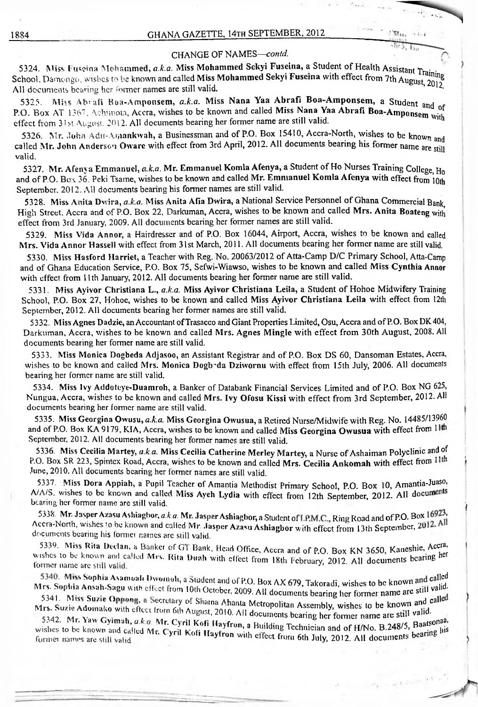$55t_{11}$ 

#### CHANGE OF NAMES-contd.

5324. Miss Puseina Mohammed, *a.k.a. Miss Mohammed Sekyi Fuseina*, a Student of Health Assistant Training<br>Shool, Damenge, wishes to be known and called Miss Mohammed Sekyi **Fuseina** with effect from 7th A. S324. IN188 Fusema Stenamineu, a.s.a. International Communication of Ekyi Fusema with effect from 7th August, 2012 All documents bearing her former names are still valid.

5325. Miss Abrafi Boa-Amponsem, *a.k.a.* Miss Nana Yaa Abrafi Boa-Amponsem, a Student <sub>ar</sub>  $P.$  Box AT 1367, Achimota, Accra, wishes to be known and called Miss Nana Yaa Abrafi Boa-Amponsem was effect from 31st August. 2012. All documents bearing her former name are still valid.

and Mr. John Anderson Oware with effect from 3rd April, 2012. All documents bearing his former name are still<br>relid 5326. Mr. John Adu-Amankwah, a Businessman and of P.O. Box 15410, Accra-North, wishes to be known valid.

and of P.O. Box 36. Peki Tsame, wishes to be known and called Mr. Emmanuel Komla Afenya with effect from  $10th$ 5327. Mr. Afenya Emmanuel, *a.k.a.* Mr. Emmanuel Komla Afenya, a Student of Ho Nurses Training College, H<sub>o</sub> September. 2012. AU documents bearing his former names are still valid.

High Street, Accra and of P.O. Box 22, Darkuman, Accra, wishes to be known and called Mrs. Anita Boateng with 5328. Miss Anita Dwira, *a.k.a.* Miss Anita Afia Dwira, a National Service Personnel ofGhana Commercial Bank, effect from 3rd January, 2009. All documents bearing her former names are still valid.

5329.Miss Vida Annor, a Hairdresser and of P.O. Box 16044, Aiiport, Accra, wishes to be known and called Mrs. Vida Annor Hassell with effect from 31st March, 2011. All documents bearing her former name are still valid.

5330. Miss Hasford Harriet, a Teacher with Reg. No. 20063/2012 of Atta-Camp D/C Primary School, Atta-Camp and of Ghana Education Service, P.O. Box 75, Sefwi-Wiawso, wishes to be known and called Miss Cynthia Annor with effect from <sup>11</sup> th January, 2012. All documents bearing her former name are still valid.

5331. Miss Ayivor Christiana L., *a.k.a.* Miss Ayivor Christiana Leila, a Student of Hohoe Midwifery Training School, P.O. Box 27, Hohoe, wishes to be known and called Miss Ayivor Christiana Leila with effect from 12th September, 2012. All documents bearing her former names are still valid.

5332. Miss Agnes Dadzie, an Accountant of Trasacco and Giant Properties Limited, Osu, Accra and of P.O. Box DK404, Darkuman, Accra, wishes to be known and called Mrs. Agnes Mingle with effect from 30th August, 2008. All documents bearing her former name are still valid.

5333. Miss Monica Dogbeda Adjasoo, an Assistant Registrar and of P.O. Box DS 60, Dansoman Estates, Accra, wishes to be known and called Mrs. Monica Dogboda Dziwornu with effect from 15th July, 2006. All documents bearing her former name are still valid.

5334. Miss Ivy Addoteye-Duamroh, a Banker of Databank Financial Services Limited and of P.O. Box NG 625, Nungua, Accra, wishes to be known and called Mrs. Ivy Ofosu Kissi with effect from 3rd September, 2012. All documents bearing her former name are still valid.

5335. Miss Georgina Owusu, *a.k.a.* Miss Georgina Owusua, a Retired Nurse/Midwife with Reg. No. 14485/13960 and of P.O. Box KA 9179, KIA, Accra, wishes to be known and called Miss Georgina Owusua with effect from 11 September, 2012. All documents bearing her former names are still valid.

5336. Miss Cecilia Martey, *a.k.a.* Miss Cecilia Catherine Merley Martey, a Nurse of Ashaiman Polyclinic and of P.O. Box SR 223, Spintex Road, Accra, wishes to be known and called Mrs. Cecilia Ankomah with effect from 11th June, 2010. All documents bearing her former names are still valid.

5337. Miss Dora Appiah, a Pupil Teacher of Amantia Methodist Primary School, P.O. Box 10, Amantia-Juaso, A/A/S, wishes to be known and called Miss Ayeh Lydia with effect from 12th September, 2012. All documents bearing her former name are still valid.

5338. Mr. Jasper Azasu Ashiaghor, *a.k.a.* Mr. Jasper Ashiaghor, a Student of I.P.M.C., Ring Road and of P.O. Box 16923, Accra-North, wishes to be known and called Mr. Jasper Azasu Ashiagbor with effect from 13th September, 2012. All documents bearing his (ormer names arc still valid.

5339. Miss Rita Declan, a Banker of GT Bank, Head Office, Accra and of P.O. Box KN 3650, Kaneshie, Accra and of P.O. Box 2012. All documents bearing<br>Wishes to be known and called Mrs. Rita Duah with effect from 18th Februa 5339. Miss Rita Declan, a Banker of GT Bank, Head Office, Accra and of P.O. Box KN 3650, Kaneshie, Accra,

former name are still valid.<br>- 5340. Miss Sophia Asamoali Divomoh, a Student and of P.O. Box AX 679, Takoradi, wishes to be known<br>Mrs. Sophia Ansah Sosu with effect of a 1980 and of P.O. Box AX 679, Takoradi, wishes to be All documents bearing her former name Fr. Sophia Ansah-Sagu with effect from<br>5341. Miss Suzie Oppong, a Secretary<br>5341. Miss Suzie Oppong, a Secretary  $\frac{13.39 \mu \text{m}}{241 \mu \text{m}}$   $\frac{13.39 \mu \text{m}}{241 \mu \text{m}}$  and  $\frac{1000 \mu \text{m}}{241 \mu \text{m}}$  and  $\frac{1000 \mu \text{m}}{241 \mu \text{m}}$  and  $\frac{1000 \mu \text{m}}{241 \mu \text{m}}$  and  $\frac{1000 \mu \text{m}}{241 \mu \text{m}}$ 

 $\frac{1}{2}$ , a Secretary of Shama Ahanta Metropolitan Assembly, wishes to be known and calle Miss Suzie Appang, a Secretary of Shama Ahanta Metropolitan Assembly, wishes to be known and caller Mrs. Suzie Adomako with effect from 6th August, 2010. All documents bearing her former name are still valid.

wishes to be known and called Mr. Cyril Kofi Hayfron with effect from 6th July, 2012. All documents bearing his 5342. Mr. Yaw Gyimah, *a.k.a.* Mr. Cyril Kofi Hayfron, a Building Technician and of H/No. B.248/5, Baatsonaa,<br>ishes to be known and called Mr. Cyril Kefi H. of Hayfron, a Building Technician and of H/No. B.248/5, Baatsonaa former names are still valid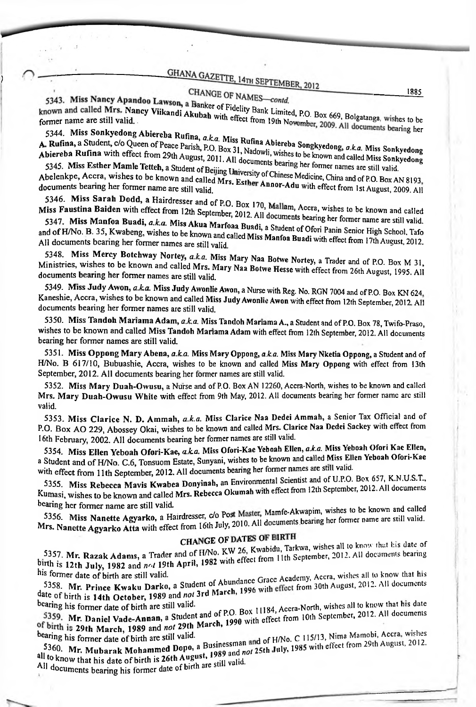)

GHANA GAZ<br>
5343. Miss Nancy Apandoo Lawson, a Banker<br>
known and called Mrs. Nancy Viikandi Akubah<br>
5344. Miss Sonkyedong Abiereba Rufina, a.k.<br>
5344. Miss Sonkyedong Abiereba Rufina, a.k. cy Vikandi, Akway of NAMES—contd.<br>Cy Viikandi Akubah with exercise Bank Limited, P.O. Box 669, Bolgatanga

5344. Miss Sonkyedong Abiereba Rufina, *a.k.a.* Miss Rufina A<br> **A. Rufina, a** Student, c/o Queen of Peace Parish, P.O. Box 31, Nadowli,<br>
Abiereba Rufina with effect from 29th August, 2011. All documents,<br>
5345. Miss Esther **rs.** Nancy Vii<br>valid.<br>edong Abiere<br>c/o Queen of F<br>th effect from<br>Mamle Tetteh.<br>ishes to be kn E, 14TH SEPTEMBER, 2012<br>
F NAMES—contd.<br>
Tidelity Bank Limited, P.O. Box 669, Bolgatanga, wishes<br>
effect from 19th November, 2009. All documents beari<br>
Iss Rufina Abiereba Songkyedong, a.k.a. Miss Sonky<br>
X 31, Nadowli, wis nnessen.<br>5344. Miss Sonkyedong Abiereba Rufina, *a.k.a*. Miss Rufina Al<br>Rufina, a Student, c/o Queen of Pesse Da.i.k.h.a.

5345. Miss Esther Mamle Tetteh, a Student of Beilige Abelend Miss Esther Mamle Tetteh, a Student of Beijing University of Chinese Medicine, China and of P.O. Box AN 8193, Abelenkpe, Accra, wishes to be known and called Mrs. Esther Annor-Adu with effect from 1st August, 2009. All

to be known and called 5340. IVENS SATAH DUUD, a Hairdresser and of P.O. Box 170, Mallam, Accra, wishes to be know<br>Miss Faustina Baiden with effect from 12th September, 2012. All documents bearing her former name :<br>5347. Miss Manfoa Buadi. a k 5346. Miss Sarah Dodd, a Hairdresser and of P.O. Box 170 Mallau, A

mer name are still valid. miss Faustina Baiden with effect from 12th September, 2012. All documents bearing her former name are still valid.<br>
5347. Miss Manfoa Buadi, a.k.a. Miss Akua Marfoaa Buadi, a Student of Ofori Panin Senior High School, Tafo Miss Faustina Baiden with effect from 12th September, 2012. All documents bearing her former name<br>5347. Miss Manfoa Buadi, a.k.a. Miss Akua Marfoaa Buadi, a Student of Ofori Panin Senior High<br>and of H/No. B. 35, Kwabeng, w 1862 - Albertho Duriash With Street Hom 12th September, 2012. All documents beartief Collaboration - 500 - - -<br>5347. Miss Manfoa Buadi, *a.k.a.* Miss Akua Marfoaa Buadi, a Student of Collaboration and of 10190. B. 33, Kwabeng, wishes to be known and called Miss Manfoa Buadi with effect from 17th August, 2012.<br>All documents bearing her former names are still volid.

5348. — <sup>~</sup> - - <sup>L</sup> Miss Mercy Botchway Nortey, *aka.* Miss Mary Naa Botwe Nortev Ministries, wishes to be known and called Mrs. Mary Naa Botwe Hesse with effect from 26th August, 1995. All documents bearing her former names are still valid. **EXECUTE BET IS NOTE:**<br> **EXECUTE:** Botchway Nortey, a.k.a. Miss Mary Naa Botwe Nortey, a Trader as<br>
be known and called Mrs. Mary Naa Botwe Hesse with effect from 2<br> **r** former names are still valid.

5349. Miss Judy Awon, *a.k.a.* Miss Judy Awonlie Awon, a Nurse with Reg. No. RGN 7004 and of P.O. Box KN 624. Kaneshie, Accra, wishes to be known and called Miss Judy Awonlie Awon with effect from 12th September, 2012. All documents bearing her former names are still valid.

wishes to be known and called Miss Tandoh Mariama Adam with effect from 12th September, 2012. All documents 5350. Miss Tandoh Mariama Adam, a.k.a. Miss Tandoh Mariama A., a Student and of P.O. Box 78, Twifo-Praso, bearing her former names are still valid

5351. Miss Oppong Mary Abena, *aka.* Miss Mary Oppong, *a.k.a.* Miss Mary Nketia Oppong, a Student and of H/No. B 617/10, Bubuashie, Accra, wishes to be known and called Miss Mary Oppong with effect from 13th September, 2012. All documents bearing her former names are still valid.

5352. Miss Mary Duah-Owusu, a Nurse and of P.O. Box AN 12260, Accra-North, wishes to be known and called Mrs. Mary Duah-Owusu White with effect from 9th May, 2012. All documents bearing her former name are still valid.

16th February, 2002. All documents bearing her former names are still valid. 5353. Miss Clarice N・ D. Ammah, *a.k.a.* Miss Clarice Naa Dedei Ammah, a Senior Tax Official and of P.O. Box AO 229, Abossey Okai, wishes to be known and called Mrs. Clarice Naa Dedei Sackey with effect from

S354. Miss Ellen Yeboah Ofori-Kae, *a.k.a*. Miss Ofori-Kae Yeboah Ellen, *a.k.a*. Miss Yeboah Ofori Kae Ellen,<br>a Student and of H/No. C.6, Tonsuom Estate, Sunyani, wishes to be known and called Miss Ellen Yeboah Ofori-Kae a Student and of H/No. C.6, Tonsuom Estate, Sunyani, wishes to be known and carled Mass Br.<br>With effect from 11th Sentember, 2012. All documents bearing her former names are still valid. 5354. Miss Ellen Yeboah Ofori-Kae, *a.k.a*. Miss Ofori-Kae Yeboah Ellen, *a.k.a*. Miss Yeboah Ofori Kae Ellen,

Ith effect from 11th September, 2012. All documents beams her former names are said that the sex 657, K.N.U.S.T.<br>5355. Miss Rebecca Mavis Kwabea Donyinah, an Environmental Scientist and of U.P.O. Box 657, K.N.U.S.T., Kumasi, wishes to be known and called Mrs. Rebecca Okumah with effect from 12th September, 2012. All documents

bearing her former name are still valid.<br>5356. Miss Nanette Agyarko, a Hairdresser, c/o Post Master, Mamfe-Akwapim, wishes to be known and called<br>Mrs. Nanette Agyarko Atta with effect from 16th July, 2010. All documents be

#### $CHANGE$  OF DATES OF BIRTH  $CHANGE$  and the mass of the first his date of **CHANGE OF DATES OF BIRTH**

Razak Adams, a 5357. Mr. Razak Adams, a Trader and of H/No. KW 20, Kwabida, Lahim, 2012. A birth is 12th July, 1982 and *not* 19th April, 1982 with effect from 11th September, 2012. A his former date of birth are still valid.<br>his former CHANGE OF DATES OF THE SEPTEMBER OF 2012.<br>5357. Mr. Razak Adams, a Trader and of H/No. KW 26, Kwabidu, Tarkwa, wishes all to know that his date of

offit is 12th July, 1982 and not 19th April, 1982<br>his former date of birth are still valid.<br>5358. Mr. Prince Kwaku Darko, a Student of Abundance Grace Academy, Accra, wishes all to know that his book. Mr. Prince Kwaku Darko, a Student of Texa, 1996 with<br>date of birth is 14th October, 1989 and *not* 3rd March, 1996 with

SJSG. W.F. Prince Kwaku Darko, a Budaten, 1996 with effect from Sun August, 2012. The Critical te of birth is 14th October, 1989 and *not* 3rd March, 1996 with effect from Sun August, 2012. All documents aring his former d bearing his former date of birth are still valid. 1990 iver. 1989 and not 29th March, 1990 with effect from 10th September, 2012. All documents<br>bearing his complete of the March, 1989 and not 29th March, 1990 with effect from 10th September, 2012. All documents

Businessman and of  $H/N0$ .  $C_{12}$  is the effect from 29th August, 2012. ,1989 and *not* to know that his date of birth is 26th August, 1989 and not bearing his former date of birth are still valid.<br>5360. Mr. Muharak Mohammed Dopo, a Businessman and of H/No. C 115/13, Nima Mamobi, Accra, wishes  $\frac{5360}{100}$ . Mr. Mubarak Mohammed Dopo,

All documents bearing his former date of birth and